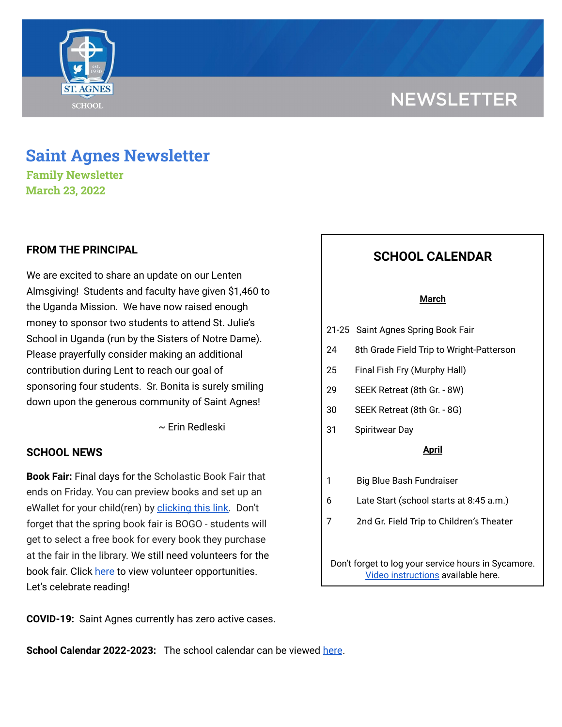# **NEWSLETTER**



# **Saint Agnes Newsletter**

**Family Newsletter March 23, 2022**

# **FROM THE PRINCIPAL**

We are excited to share an update on our Lenten Almsgiving! Students and faculty have given \$1,460 to the Uganda Mission. We have now raised enough money to sponsor two students to attend St. Julie's School in Uganda (run by the Sisters of Notre Dame). Please prayerfully consider making an additional contribution during Lent to reach our goal of sponsoring four students. Sr. Bonita is surely smiling down upon the generous community of Saint Agnes!

~ Erin Redleski

## **SCHOOL NEWS**

**Book Fair:** Final days for the Scholastic Book Fair that ends on Friday. You can preview books and set up an eWallet for your child(ren) by [clicking](https://www.scholastic.com/bf/stagnesschool2) this link. Don't forget that the spring book fair is BOGO - students will get to select a free book for every book they purchase at the fair in the library. We still need volunteers for the book fair. Click [here](https://www.signupgenius.com/go/60B0F45AFA623A4FE3-book) to view volunteer opportunities. Let's celebrate reading!

### **COVID-19:** Saint Agnes currently has zero active cases.

**School Calendar 2022-2023:** The school calendar can be viewed [here](https://docs.google.com/document/d/19Jca5qDUn0PL7orYjTM3_tiJTiT1MqUm7a4nh3h5hlk/edit?usp=sharing).

# **SCHOOL CALENDAR**

#### **March**

- 21-25 Saint Agnes Spring Book Fair
- 24 8th Grade Field Trip to Wright-Patterson
- 25 Final Fish Fry (Murphy Hall)
- 29 SEEK Retreat (8th Gr. 8W)
- 30 SEEK Retreat (8th Gr. 8G)
- 31 Spiritwear Day

#### **April**

- 1 Big Blue Bash Fundraiser
- 6 Late Start (school starts at 8:45 a.m.)
- 7 2nd Gr. Field Trip to Children's Theater

Don't forget to log your service hours in Sycamore. Video [instructions](https://drive.google.com/file/d/1cmYj9N-NF2btSiiG8QdTD20q2RJRpwk7/view?usp=sharing) available here.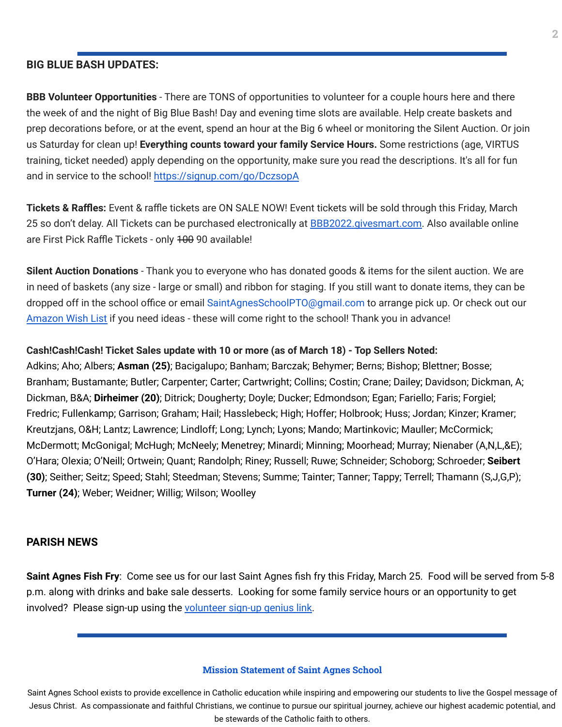## **BIG BLUE BASH UPDATES:**

**BBB Volunteer Opportunities** - There are TONS of opportunities to volunteer for a couple hours here and there the week of and the night of Big Blue Bash! Day and evening time slots are available. Help create baskets and prep decorations before, or at the event, spend an hour at the Big 6 wheel or monitoring the Silent Auction. Or join us Saturday for clean up! **Everything counts toward your family Service Hours.** Some restrictions (age, VIRTUS training, ticket needed) apply depending on the opportunity, make sure you read the descriptions. It's all for fun and in service to the school! <https://signup.com/go/DczsopA>

**Tickets & Raffles:** Event & raffle tickets are ON SALE NOW! Event tickets will be sold through this Friday, March 25 so don't delay. All Tickets can be purchased electronically at **BBB2022.givesmart.com**. Also available online are First Pick Raffle Tickets - only 400 90 available!

**Silent Auction Donations** - Thank you to everyone who has donated goods & items for the silent auction. We are in need of baskets (any size - large or small) and ribbon for staging. If you still want to donate items, they can be dropped off in the school office or email SaintAgnesSchoolPTO@gmail.com to arrange pick up. Or check out our [Amazon](https://www.amazon.com/hz/wishlist/ls/2WYPEQIR7F1N5?ref_=wl_share) Wish List if you need ideas - these will come right to the school! Thank you in advance!

### **Cash!Cash!Cash! Ticket Sales update with 10 or more (as of March 18) - Top Sellers Noted:**

Adkins; Aho; Albers; **Asman (25)**; Bacigalupo; Banham; Barczak; Behymer; Berns; Bishop; Blettner; Bosse; Branham; Bustamante; Butler; Carpenter; Carter; Cartwright; Collins; Costin; Crane; Dailey; Davidson; Dickman, A; Dickman, B&A; **Dirheimer (20)**; Ditrick; Dougherty; Doyle; Ducker; Edmondson; Egan; Fariello; Faris; Forgiel; Fredric; Fullenkamp; Garrison; Graham; Hail; Hasslebeck; High; Hoffer; Holbrook; Huss; Jordan; Kinzer; Kramer; Kreutzjans, O&H; Lantz; Lawrence; Lindloff; Long; Lynch; Lyons; Mando; Martinkovic; Mauller; McCormick; McDermott; McGonigal; McHugh; McNeely; Menetrey; Minardi; Minning; Moorhead; Murray; Nienaber (A,N,L,&E); O'Hara; Olexia; O'Neill; Ortwein; Quant; Randolph; Riney; Russell; Ruwe; Schneider; Schoborg; Schroeder; **Seibert (30)**; Seither; Seitz; Speed; Stahl; Steedman; Stevens; Summe; Tainter; Tanner; Tappy; Terrell; Thamann (S,J,G,P); **Turner (24)**; Weber; Weidner; Willig; Wilson; Woolley

#### **PARISH NEWS**

**Saint Agnes Fish Fry**: Come see us for our last Saint Agnes fish fry this Friday, March 25. Food will be served from 5-8 p.m. along with drinks and bake sale desserts. Looking for some family service hours or an opportunity to get involved? Please sign-up using the [volunteer](https://signup.com/client/invitation2/secure/4250775900122/false#/invitation) sign-up genius link.

#### **Mission Statement of Saint Agnes School**

Saint Agnes School exists to provide excellence in Catholic education while inspiring and empowering our students to live the Gospel message of Jesus Christ. As compassionate and faithful Christians, we continue to pursue our spiritual journey, achieve our highest academic potential, and be stewards of the Catholic faith to others.